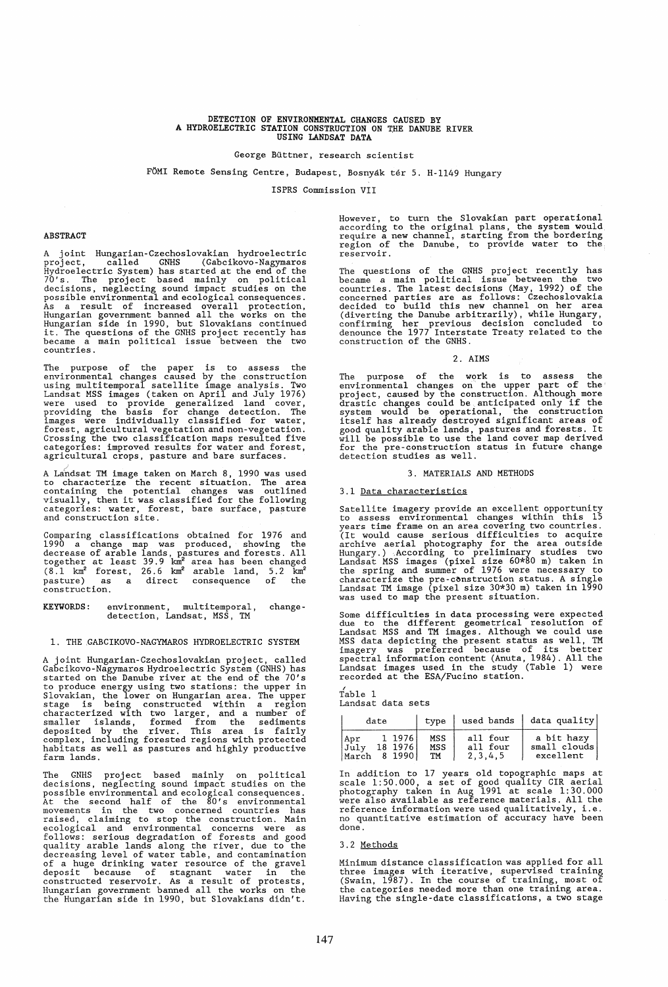## DETECTION OF ENVIRONMENTAL CHANGES CAUSED BY A HYDROELECTRIC STATION CONSTRUCTION ON THE DANUBE RIVER<br>USING LANDSAT DATA

#### George Buttner, research scientist

### FÖMI Remote Sensing Centre, Budapest, Bosnyák tér 5. H-1149 Hungary

ISPRS Commission VII

#### ABSTRACT

A joint Hungarian-Czechoslovakian hydroelectric<br>project, called GNHS (Gabcikovo-Nagymaros<br>Hydroelectric System) has started at the end of the<br>70's. The project based mainly on political<br>decisions, neglecting sound impact s became a main political issue between the two countries.

The purpose of the paper is to assess the<br>environmental changes caused by the construction<br>using multitemporal satellite image analysis. Two<br>Landsat MSS images (taken on April and July 1976)<br>were used to provide generalize

A Landsat TM image taken on March 8, 1990 was used to characterize the recent situation. The area containing the potential changes was outlined containing the potential changes was outlined<br>visually, then it was classified for the following<br>categories: water, forest, bare surface, pasture<br>and construction site.

Comparing classifications obtained for 1976 and 1990 a change map was produced, showing the decrease of arable lands, pastures and forests. All together at least 39.9 km<sup>2</sup> area has been changed (8.1 km<sup>2</sup> forest, 26.6 km construction.

KEYWORDS: environment, multitemporal, detection, Landsat, MSS, TM change-

#### 1. THE ,GABCIKOVO-NAGYMAROS HYDROELECTRIC SYSTEM

A joint Hungarian-Czechoslovakian project, called Gabcikovo-Nagymaros Hydroelectric System (GNHS) has started on the Danube river at the end of the 70's solution to produce energy using two stations: the upper in Slovakian, the lower on Hungarian area. The upper stage is being constructed within a region characterized with two larger, and a number of smaller islands, forme farm lands.

The GNHS project based mainly on political<br>decisions, neglecting sound impact studies on the<br>possible environmental and ecological consequences.<br>At the second half of the 80's environmental<br>movements in the two concerned c

However, to turn the Slovakian part operational according to the original plans, the system would require a new channel, starting from the bordering region of the Danube, to provide water to the reservoir.

The questions of the GNHS project recently has<br>became a main political issue between the two<br>countries. The latest decisions (May, 1992) of the<br>concerned parties are as follows: Czechoslovakia<br>decided to build this new cha construction of the GNHS.

#### 2. AIMS

The purpose of the work is to assess the<br>environmental changes on the upper part of the<br>project, caused by the construction. Although more<br>drastic changes could be anticipated only if the<br>system would be operational, the c

#### 3. MATERIALS AND METHODS

#### 3.1 Data characteristics

Satellite imagery provide an excellent opportunity to assess environmental changes within this 15 years time frame on an area covering two countries. years the riangle in an area covering to contribute the serious difficulties to acquire archive aerial photography for the area outside Hungary.) According to preliminary studies two Landsat MSS images (pixel size 60\*80 m)

Some difficulties in data processing were expected<br>due to the different geometrical resolution of<br>Landsat MSS and TM images. Although we could use<br>MSS data depicting the present status as well, TM<br>imagery was preferred bec recorded at the ESA/Fucino station.

/ Table 1 Landsat data sets

| date                                                | type             |                                 | used bands data quality                 |
|-----------------------------------------------------|------------------|---------------------------------|-----------------------------------------|
| 1 1976<br>Apr<br>July<br>18 1976<br>8 1990<br>March | MSS<br>MSS<br>TM | all four<br>all four<br>2.3.4.5 | a bit hazy<br>small clouds<br>excellent |

In addition to 17 years old topographic maps at scale 1:50.000, a set of good quality CIR aerial photography taken in Aug 1991 at scale 1: 30. 000 were also available as reference materials. All the reference information were used qualitatively, i. e. no quantitative estimation of accuracy have been done.

#### 3.2 Methods

Minimum distance classification was applied for all three images with iterative, supervised training (Swain, 1987). In the course of training, most of the categories needed more than one training area. Having the single-date classifications, a two stage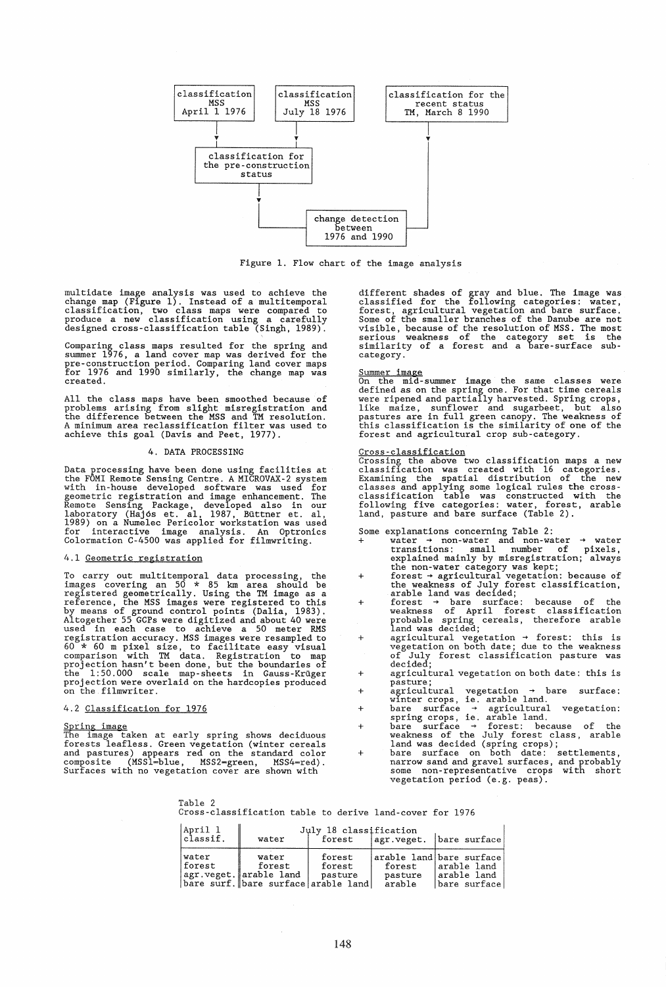

Figure 1. Flow chart of the image analysis

multidate image analysis was used to achieve the<br>change map (Figure 1). Instead of a multitemporal<br>classification, two class maps were compared to<br>produce a new classification using a carefully<br>designed cross-classificatio

Comparing class maps resulted for the spring and summer 1976, a land cover map was derived for the pre-construction period. Comparing land cover maps for 1976 and 1990 similarly. the change map was created.

All the class maps have been smoothed because of problems arising from slight misregistration and the difference between the MSS and TM resolution. A minimum area reclassification filter was used to achieve this goal (Davis and Peet, 1977).

### 4. DATA PROCESSING

Data processing have been done using facilities at<br>the FOMI Remote Sensing Centre. A MICROVAX-2 system<br>with in-house developed software was used for<br>geometric registration and image enhancement. The<br>Remote Sensing Package,

#### 4.1 Geometric registration

To carry out multitemporal data processing, the images covering an 50 \* <sup>85</sup>km area should be registered geometrically. Using the TM image as a<br>reference, the MSS images were registered to this<br>by means of ground control points (Dalia, 1983).<br>Altogether 55 GCPs were digitized and about 40 were<br>used in each case to registration accuracy. MSS images were resampled to <sup>60</sup>\* 60 m pixel size, to facilitate easy visual comparison with TM data. Registration to map projection hasn't been done, but the boundaries of the 1:50.000 scale map-sheets in Gauss-Kruger projection were overlaid on the hardcopies produced on the filmwriter.

#### 4.2 Classification for 1976

Spring image<br>The image taken at early spring shows deciduous<br>forests leafless. Green vegetation (winter cereals<br>and pastures) appears red on the standard color<br>composite (MSS1=blue, MSS2=green, MSS4=red).<br>Surfaces with no

different shades of gray and blue. The image was<br>classified for the following categories: water,<br>forest, agricultural vegetation and bare surface.<br>Some of the smaller branches of the Danube are not<br>visible, because of the category.

Summer image<br>On the mid-summer image the same classes were<br>defined as on the spring one. For that time cereals<br>were ripened and partially harvested. Spring crops,<br>like maize, sunflower and sugarbeet, but also<br>pastures are forest and agricultural crop sub-category.

<u>Cross-classification</u><br>Crossing the above two classification maps a new<br>classification was created with 16 categories. Examining the spatial distribution of the new<br>classes and applying some logical rules the cross-<br>classification table was constructed with the<br>following five categories: water, forest, arable<br>land, pasture and bare surface

# Some +

- explanations concerning Table 2:<br>
water  $\rightarrow$  non-water and non-water  $\rightarrow$  water<br>
transitions: small number of pixels,<br>
explained mainly by misregistration; always<br>
the non-water category was kept;<br>
forest  $\rightarrow$  agricultura
- +
- +
- + agricultural vegetation ~ forest: this is vegetation on both date; due to the weakness of July forest classification pasture was decided;
- + agricultural vegetation on both date: this is
- +
- +
- +
- + pasture;<br>
agricultural vegetation + bare surface:<br>
winter crops, ie. arable land.<br>
bare surface + agricultural vegetation:<br>
spring crops, ie. arable land.<br>
bare surface + forest: because of the<br>
weakness of the July forest vegetation period (e.g. peas).

Table 2 Cross-classification table to derive land-cover for 1976

| April 1<br>classif. | water                                                                            | July 18 classification      |                             | forest   agr. veget.   bare surface                                     |  |
|---------------------|----------------------------------------------------------------------------------|-----------------------------|-----------------------------|-------------------------------------------------------------------------|--|
| water<br>  forest   | water<br>forest<br>agr.veget. arable land<br>bare surf. bare surface arable land | forest<br>forest<br>pasture | forest<br>pasture<br>arable | arable land bare surface<br>arable land<br> arable land<br>bare surface |  |